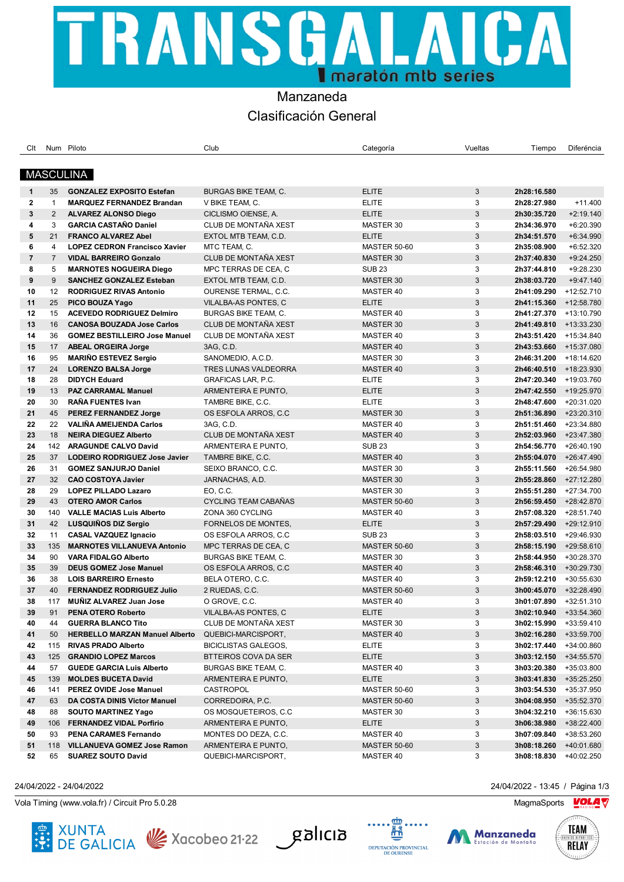# TRANSGALAI CА I maratón mib series

## Manzaneda Clasificación General

| Clt            |                 | Num Piloto                            | Club                        | Categoría           | Vueltas      | Tiempo                 | Diferéncia  |
|----------------|-----------------|---------------------------------------|-----------------------------|---------------------|--------------|------------------------|-------------|
|                |                 |                                       |                             |                     |              |                        |             |
|                |                 | <b>MASCULINA</b>                      |                             |                     |              |                        |             |
|                |                 |                                       |                             |                     |              |                        |             |
| $\mathbf{1}$   | 35              | <b>GONZALEZ EXPOSITO Estefan</b>      | <b>BURGAS BIKE TEAM, C.</b> | <b>ELITE</b>        | 3            | 2h28:16.580            |             |
| $\mathbf{2}$   | $\mathbf{1}$    | <b>MARQUEZ FERNANDEZ Brandan</b>      | V BIKE TEAM, C.             | <b>ELITE</b>        | 3            | 2h28:27.980            | $+11.400$   |
| 3              | $\overline{2}$  | <b>ALVAREZ ALONSO Diego</b>           | CICLISMO OIENSE, A.         | <b>ELITE</b>        | 3            | 2h30:35.720            | $+2:19.140$ |
| 4              | 3               | <b>GARCIA CASTAÑO Daniel</b>          | CLUB DE MONTAÑA XEST        | MASTER 30           | 3            | 2h34:36.970            | +6:20.390   |
| 5              | 21              | <b>FRANCO ALVAREZ Abel</b>            | EXTOL MTB TEAM, C.D.        | <b>ELITE</b>        | 3            | 2h34:51.570            | +6:34.990   |
| 6              | 4               | <b>LOPEZ CEDRON Francisco Xavier</b>  | MTC TEAM, C.                | <b>MASTER 50-60</b> | 3            | 2h35:08.900            | +6:52.320   |
| $\overline{7}$ | $\overline{7}$  | <b>VIDAL BARREIRO Gonzalo</b>         | CLUB DE MONTAÑA XEST        | MASTER 30           | 3            | 2h37:40.830            | +9:24.250   |
| 8              | 5               | <b>MARNOTES NOGUEIRA Diego</b>        | MPC TERRAS DE CEA, C        | <b>SUB 23</b>       | 3            | 2h37:44.810            | +9:28.230   |
| 9              | 9               | <b>SANCHEZ GONZALEZ Esteban</b>       | EXTOL MTB TEAM, C.D.        | MASTER 30           | 3            | 2h38:03.720            | $+9:47.140$ |
| 10             | 12 <sup>2</sup> | <b>RODRIGUEZ RIVAS Antonio</b>        | OURENSE TERMAL, C.C.        | MASTER 40           | 3            | 2h41:09.290            | +12:52.710  |
| 11             | 25              | PICO BOUZA Yago                       | VILALBA-AS PONTES, C        | <b>ELITE</b>        | 3            | 2h41:15.360            | +12:58.780  |
| 12             | 15              | <b>ACEVEDO RODRIGUEZ Delmiro</b>      | <b>BURGAS BIKE TEAM, C.</b> | MASTER 40           | 3            | 2h41:27.370 +13:10.790 |             |
| 13             | 16              | <b>CANOSA BOUZADA Jose Carlos</b>     | CLUB DE MONTAÑA XEST        | MASTER 30           | 3            | 2h41:49.810 +13:33.230 |             |
| 14             | 36              | <b>GOMEZ BESTILLEIRO Jose Manuel</b>  | CLUB DE MONTAÑA XEST        | MASTER 40           | 3            | 2h43:51.420            | +15:34.840  |
| 15             | 17              | <b>ABEAL ORGEIRA Jorge</b>            | 3AG, C.D.                   | MASTER 40           | 3            | 2h43:53.660 +15:37.080 |             |
| 16             | 95              | <b>MARIÑO ESTEVEZ Sergio</b>          | SANOMEDIO, A.C.D.           | MASTER 30           | 3            | 2h46:31.200 +18:14.620 |             |
| 17             | 24              | <b>LORENZO BALSA Jorge</b>            | <b>TRES LUNAS VALDEORRA</b> | MASTER 40           | 3            | 2h46:40.510 +18:23.930 |             |
| 18             | 28              | <b>DIDYCH Eduard</b>                  | GRAFICAS LAR, P.C.          | <b>ELITE</b>        | 3            | 2h47:20.340            | +19:03.760  |
| 19             | 13              | <b>PAZ CARRAMAL Manuel</b>            | ARMENTEIRA E PUNTO,         | <b>ELITE</b>        | 3            | 2h47:42.550 +19:25.970 |             |
| 20             | 30              | RAÑA FUENTES Ivan                     | TAMBRE BIKE, C.C.           | <b>ELITE</b>        | 3            | 2h48:47.600 +20:31.020 |             |
| 21             | 45              | <b>PEREZ FERNANDEZ Jorge</b>          | OS ESFOLA ARROS, C.C        | <b>MASTER 30</b>    | 3            | 2h51:36.890 +23:20.310 |             |
| 22             | 22              | <b>VALIÑA AMEIJENDA Carlos</b>        | 3AG, C.D.                   | MASTER 40           | 3            | 2h51:51.460            | +23:34.880  |
| 23             | 18              | <b>NEIRA DIEGUEZ Alberto</b>          | CLUB DE MONTAÑA XEST        | MASTER 40           | $\mathbf{3}$ | 2h52:03.960            | +23:47.380  |
| 24             | 142             | <b>ARAGUNDE CALVO David</b>           | ARMENTEIRA E PUNTO,         | <b>SUB 23</b>       | 3            | 2h54:56.770 +26:40.190 |             |
| 25             | 37              | <b>LODEIRO RODRIGUEZ Jose Javier</b>  | TAMBRE BIKE, C.C.           | MASTER 40           | 3            | 2h55:04.070 +26:47.490 |             |
| 26             | 31              | <b>GOMEZ SANJURJO Daniel</b>          | SEIXO BRANCO, C.C.          | MASTER 30           | 3            | 2h55:11.560            | +26:54.980  |
| 27             | 32              | <b>CAO COSTOYA Javier</b>             | JARNACHAS, A.D.             | MASTER 30           | 3            | 2h55:28.860            | +27:12.280  |
| 28             | 29              | <b>LOPEZ PILLADO Lazaro</b>           | EO, C.C.                    | MASTER 30           | 3            | 2h55:51.280 +27:34.700 |             |
| 29             | 43              | <b>OTERO AMOR Carlos</b>              | CYCLING TEAM CABAÑAS        | <b>MASTER 50-60</b> | 3            | 2h56:59.450 +28:42.870 |             |
| 30             | 140             | <b>VALLE MACIAS Luis Alberto</b>      | ZONA 360 CYCLING            | MASTER 40           | 3            | 2h57:08.320            | +28:51.740  |
| 31             | 42              | LUSQUIÑOS DIZ Sergio                  | FORNELOS DE MONTES,         | <b>ELITE</b>        | 3            | 2h57:29.490            | +29:12.910  |
| 32             | 11              | <b>CASAL VAZQUEZ Ignacio</b>          | OS ESFOLA ARROS, C.C        | <b>SUB 23</b>       | 3            | 2h58:03.510 +29:46.930 |             |
| 33             | 135             | <b>MARNOTES VILLANUEVA Antonio</b>    | MPC TERRAS DE CEA, C        | <b>MASTER 50-60</b> | 3            | 2h58:15.190 +29:58.610 |             |
| 34             | 90              | <b>VARA FIDALGO Alberto</b>           | <b>BURGAS BIKE TEAM, C.</b> | MASTER 30           | 3            | 2h58:44.950            | +30:28.370  |
| 35             | 39              | <b>DEUS GOMEZ Jose Manuel</b>         | OS ESFOLA ARROS, C.C.       | MASTER 40           | $\mathbf{3}$ | 2h58:46.310            | +30:29.730  |
| 36             | 38              | <b>LOIS BARREIRO Ernesto</b>          | BELA OTERO, C.C.            | MASTER 40           | 3            | 2h59:12.210 +30:55.630 |             |
| 37             | 40              | <b>FERNANDEZ RODRIGUEZ Julio</b>      | 2 RUEDAS, C.C.              | <b>MASTER 50-60</b> | 3            | 3h00:45.070 +32:28.490 |             |
| 38             | 117             | <b>MUNIZ ALVAREZ Juan Jose</b>        | O GROVE, C.C.               | MASTER 40           | 3            | 3h01:07.890 +32:51.310 |             |
| 39             | 91              | PENA OTERO Roberto                    | VILALBA-AS PONTES, C        | <b>ELITE</b>        | 3            | 3h02:10.940 +33:54.360 |             |
| 40             | 44              | <b>GUERRA BLANCO Tito</b>             | CLUB DE MONTAÑA XEST        | MASTER 30           | 3            | 3h02:15.990 +33:59.410 |             |
| 41             | 50              | <b>HERBELLO MARZAN Manuel Alberto</b> | QUEBICI-MARCISPORT,         | MASTER 40           | 3            | 3h02:16.280            | +33:59.700  |
| 42             | 115             | <b>RIVAS PRADO Alberto</b>            | <b>BICICLISTAS GALEGOS,</b> | ELITE               | 3            | 3h02:17.440            | +34:00.860  |
| 43             | 125             | <b>GRANDIO LOPEZ Marcos</b>           | BTTEIROS COVA DA SER        | <b>ELITE</b>        | 3            | 3h03:12.150            | +34:55.570  |
| 44             | 57              | <b>GUEDE GARCIA Luis Alberto</b>      | BURGAS BIKE TEAM, C.        | MASTER 40           | 3            | 3h03:20.380            | +35:03.800  |
| 45             | 139             | <b>MOLDES BUCETA David</b>            | ARMENTEIRA E PUNTO,         | ELITE               | 3            | 3h03:41.830            | +35:25.250  |
| 46             | 141             | <b>PEREZ OVIDE Jose Manuel</b>        | CASTROPOL                   | MASTER 50-60        | 3            | 3h03:54.530            | +35:37.950  |
| 47             | 63              | DA COSTA DINIS Victor Manuel          | CORREDOIRA, P.C.            | <b>MASTER 50-60</b> | 3            | 3h04:08.950            | +35:52.370  |
| 48             | 88              | <b>SOUTO MARTINEZ Yago</b>            | OS MOSQUETEIROS, C.C        | MASTER 30           | 3            | 3h04:32.210            | +36:15.630  |
| 49             | 106             | <b>FERNANDEZ VIDAL Porfirio</b>       | ARMENTEIRA E PUNTO,         | ELITE               | 3            | 3h06:38.980            | +38:22.400  |
| 50             | 93              | PENA CARAMES Fernando                 | MONTES DO DEZA, C.C.        | MASTER 40           | 3            | 3h07:09.840            | +38:53.260  |
| 51             | 118             | <b>VILLANUEVA GOMEZ Jose Ramon</b>    | ARMENTEIRA E PUNTO,         | <b>MASTER 50-60</b> | 3            | 3h08:18.260            | +40:01.680  |
| 52             | 65              | <b>SUAREZ SOUTO David</b>             | QUEBICI-MARCISPORT,         | MASTER 40           | 3            | 3h08:18.830            | +40:02.250  |

Vola Timing (www.vola.fr) / Circuit Pro 5.0.28 MagmaSports MagmaSports MagmaSports MagmaSports Mole











24/04/2022 - 24/04/2022 24/04/2022 - 13:45 / Página 1/3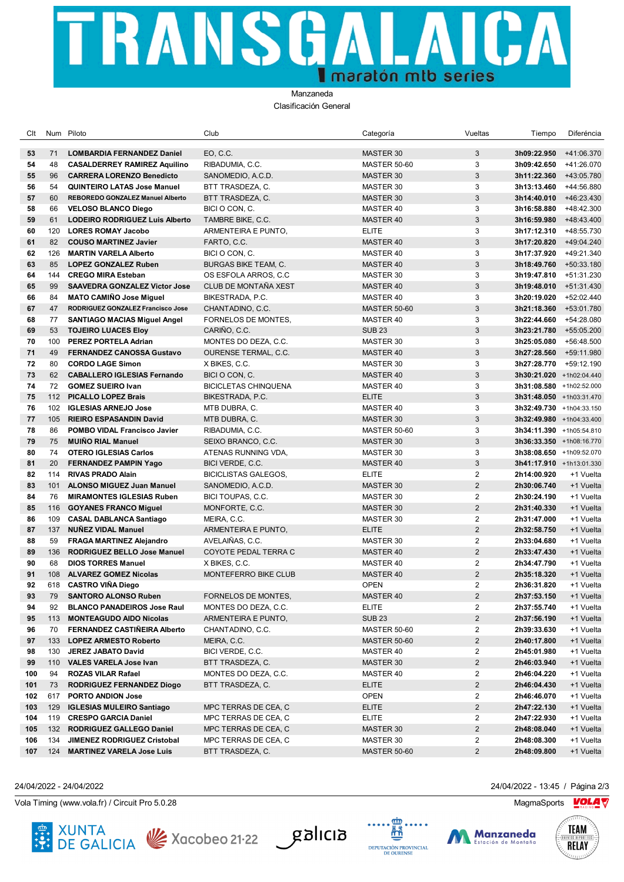## TRANSGAI CA  $\blacksquare$ maratón mib series

### Manzaneda

Clasificación General

| Clt      |     | Num Piloto                                                        | Club                                          | Categoría                        | Vueltas                 | Tiempo                                                  | Diferéncia |
|----------|-----|-------------------------------------------------------------------|-----------------------------------------------|----------------------------------|-------------------------|---------------------------------------------------------|------------|
| 53       | 71  | <b>LOMBARDIA FERNANDEZ Daniel</b>                                 | EO, C.C.                                      | <b>MASTER 30</b>                 | 3                       | 3h09:22.950                                             | +41:06.370 |
| 54       | 48  | <b>CASALDERREY RAMIREZ Aquilino</b>                               | RIBADUMIA, C.C.                               | <b>MASTER 50-60</b>              | 3                       | 3h09:42.650                                             | +41:26.070 |
| 55       | 96  | <b>CARRERA LORENZO Benedicto</b>                                  | SANOMEDIO, A.C.D.                             | MASTER 30                        | 3                       | <b>3h11:22.360</b> +43:05.780                           |            |
| 56       | 54  | <b>QUINTEIRO LATAS Jose Manuel</b>                                | BTT TRASDEZA. C.                              | MASTER 30                        | 3                       | 3h13:13.460 +44:56.880                                  |            |
| 57       | 60  | REBOREDO GONZALEZ Manuel Alberto                                  | BTT TRASDEZA, C.                              | MASTER 30                        | 3                       | 3h14:40.010                                             | +46:23.430 |
| 58       | 66  | <b>VELOSO BLANCO Diego</b>                                        | BICI O CON, C.                                | MASTER 40                        | 3                       | 3h16:58.880                                             | +48:42.300 |
| 59       | 61  | <b>LODEIRO RODRIGUEZ Luis Alberto</b>                             | TAMBRE BIKE, C.C.                             | MASTER 40                        | 3                       | $3h16:59.980 +48:43.400$                                |            |
| 60       | 120 | <b>LORES ROMAY Jacobo</b>                                         | ARMENTEIRA E PUNTO,                           | <b>ELITE</b>                     | 3                       | 3h17:12.310 +48:55.730                                  |            |
| 61       | 82  | <b>COUSO MARTINEZ Javier</b>                                      | FARTO, C.C.                                   | MASTER 40                        | 3                       | <b>3h17:20.820</b> +49:04.240                           |            |
| 62       | 126 | <b>MARTIN VARELA Alberto</b>                                      | BICI O CON, C.                                | MASTER 40                        | 3                       | 3h17:37.920 +49:21.340                                  |            |
| 63       | 85  | <b>LOPEZ GONZALEZ Ruben</b>                                       | <b>BURGAS BIKE TEAM, C.</b>                   | MASTER 40                        | 3                       | 3h18:49.760 +50:33.180                                  |            |
| 64       | 144 | <b>CREGO MIRA Esteban</b>                                         | OS ESFOLA ARROS, C.C.                         | MASTER 30                        | 3                       | 3h19:47.810 +51:31.230                                  |            |
| 65       | 99  | <b>SAAVEDRA GONZALEZ Victor Jose</b>                              | CLUB DE MONTAÑA XEST                          | MASTER 40                        | 3                       | 3h19:48.010                                             | +51:31.430 |
| 66       | 84  | <b>MATO CAMINO Jose Miguel</b>                                    | BIKESTRADA, P.C.                              | MASTER 40                        | 3                       | 3h20:19.020                                             | +52:02.440 |
| 67       | 47  | RODRIGUEZ GONZALEZ Francisco Jose                                 |                                               |                                  | 3                       |                                                         |            |
| 68       | 77  |                                                                   | CHANTADINO, C.C.                              | <b>MASTER 50-60</b><br>MASTER 40 | 3                       | $3h21:18.360 +53:01.780$<br>$3h22:44.660$ +54:28.080    |            |
| 69       | 53  | <b>SANTIAGO MACIAS Miguel Angel</b><br><b>TOJEIRO LUACES Eloy</b> | FORNELOS DE MONTES,<br>CARIÑO, C.C.           | <b>SUB 23</b>                    | 3                       |                                                         |            |
|          | 100 | PEREZ PORTELA Adrian                                              | MONTES DO DEZA, C.C.                          | MASTER 30                        | 3                       | 3h23:21.780<br>3h25:05.080                              | +55:05.200 |
| 70<br>71 | 49  | <b>FERNANDEZ CANOSSA Gustavo</b>                                  | <b>OURENSE TERMAL, C.C.</b>                   |                                  | 3                       |                                                         | +56:48.500 |
| 72       | 80  | <b>CORDO LAGE Simon</b>                                           |                                               | MASTER 40                        | 3                       | <b>3h27:28.560</b> +59:11.980<br>3h27:28.770 +59:12.190 |            |
| 73       | 62  | <b>CABALLERO IGLESIAS Fernando</b>                                | X BIKES, C.C.                                 | MASTER 30<br>MASTER 40           | 3                       |                                                         |            |
| 74       | 72  | <b>GOMEZ SUEIRO Ivan</b>                                          | BICI O CON, C.<br><b>BICICLETAS CHINQUENA</b> | MASTER 40                        | 3                       | 3h30:21.020 +1h02:04.440<br>3h31:08.580 +1h02:52.000    |            |
| 75       | 112 | PICALLO LOPEZ Brais                                               | BIKESTRADA, P.C.                              | <b>ELITE</b>                     | 3                       | 3h31:48.050 +1h03:31.470                                |            |
| 76       | 102 | <b>IGLESIAS ARNEJO Jose</b>                                       | MTB DUBRA, C.                                 | MASTER 40                        | 3                       | 3h32:49.730 +1h04:33.150                                |            |
| 77       | 105 | <b>RIEIRO ESPASANDIN David</b>                                    | MTB DUBRA, C.                                 | MASTER 30                        | 3                       | 3h32:49.980 +1h04:33.400                                |            |
| 78       | 86  | POMBO VIDAL Francisco Javier                                      | RIBADUMIA, C.C.                               | <b>MASTER 50-60</b>              | 3                       | 3h34:11.390 +1h05:54.810                                |            |
| 79       | 75  | <b>MUINO RIAL Manuel</b>                                          | SEIXO BRANCO, C.C.                            | MASTER 30                        | 3                       | 3h36:33.350 +1h08:16.770                                |            |
| 80       | 74  | <b>OTERO IGLESIAS Carlos</b>                                      | ATENAS RUNNING VDA.                           | MASTER 30                        | 3                       | 3h38:08.650 +1h09:52.070                                |            |
| 81       | 20  | <b>FERNANDEZ PAMPIN Yago</b>                                      | BICI VERDE, C.C.                              | MASTER 40                        | 3                       | 3h41:17.910 +1h13:01.330                                |            |
| 82       | 114 | <b>RIVAS PRADO Alain</b>                                          | <b>BICICLISTAS GALEGOS,</b>                   | <b>ELITE</b>                     | 2                       | 2h14:00.920                                             | +1 Vuelta  |
| 83       | 101 | <b>ALONSO MIGUEZ Juan Manuel</b>                                  | SANOMEDIO, A.C.D.                             | MASTER 30                        | $\overline{2}$          | 2h30:06.740                                             | +1 Vuelta  |
| 84       | 76  | <b>MIRAMONTES IGLESIAS Ruben</b>                                  | BICI TOUPAS, C.C.                             | MASTER 30                        | 2                       | 2h30:24.190                                             | +1 Vuelta  |
| 85       | 116 | <b>GOYANES FRANCO Miguel</b>                                      | MONFORTE, C.C.                                | MASTER 30                        | $\overline{2}$          | 2h31:40.330                                             | +1 Vuelta  |
| 86       | 109 | <b>CASAL DABLANCA Santiago</b>                                    | MEIRA, C.C.                                   | MASTER 30                        | $\overline{2}$          | 2h31:47.000                                             | +1 Vuelta  |
| 87       | 137 | <b>NUNEZ VIDAL Manuel</b>                                         | ARMENTEIRA E PUNTO,                           | ELITE                            | $\overline{2}$          | 2h32:58.750                                             | +1 Vuelta  |
| 88       | 59  | <b>FRAGA MARTINEZ Alejandro</b>                                   | AVELAIÑAS, C.C.                               | MASTER 30                        | $\overline{2}$          | 2h33:04.680                                             | +1 Vuelta  |
| 89       | 136 | RODRIGUEZ BELLO Jose Manuel                                       | COYOTE PEDAL TERRA C                          | MASTER 40                        | 2                       | 2h33:47.430                                             | +1 Vuelta  |
| 90       | 68  | <b>DIOS TORRES Manuel</b>                                         | X BIKES, C.C.                                 | MASTER 40                        | 2                       | 2h34:47.790                                             | +1 Vuelta  |
| 91       | 108 | <b>ALVAREZ GOMEZ Nicolas</b>                                      | <b>MONTEFERRO BIKE CLUB</b>                   | MASTER 40                        | $\overline{2}$          | 2h35:18.320                                             | +1 Vuelta  |
| 92       |     | 618 CASTRO VIÑA Diego                                             |                                               | OPEN                             | $\overline{2}$          | 2h36:31.820                                             | +1 Vuelta  |
| 93       |     | 79 SANTORO ALONSO Ruben                                           | FORNELOS DE MONTES,                           | MASTER 40                        | $\overline{2}$          | 2h37:53.150                                             | +1 Vuelta  |
| 94       | 92  | <b>BLANCO PANADEIROS Jose Raul</b>                                | MONTES DO DEZA, C.C.                          | <b>ELITE</b>                     | 2                       | 2h37:55.740                                             | +1 Vuelta  |
| 95       | 113 | <b>MONTEAGUDO AIDO Nicolas</b>                                    | ARMENTEIRA E PUNTO,                           | <b>SUB 23</b>                    | $\overline{2}$          | 2h37:56.190                                             | +1 Vuelta  |
| 96       | 70  | <b>FERNANDEZ CASTINEIRA Alberto</b>                               | CHANTADINO, C.C.                              | <b>MASTER 50-60</b>              | 2                       | 2h39:33.630                                             | +1 Vuelta  |
| 97       |     | 133 LOPEZ ARMESTO Roberto                                         | MEIRA, C.C.                                   | <b>MASTER 50-60</b>              | $\overline{2}$          | 2h40:17.800                                             | +1 Vuelta  |
| 98       |     | 130 JEREZ JABATO David                                            | BICI VERDE, C.C.                              | MASTER 40                        | 2                       | 2h45:01.980                                             | +1 Vuelta  |
| 99       | 110 | <b>VALES VARELA Jose Ivan</b>                                     | BTT TRASDEZA, C.                              | MASTER 30                        | $\overline{\mathbf{c}}$ | 2h46:03.940                                             | +1 Vuelta  |
| 100      | 94  | <b>ROZAS VILAR Rafael</b>                                         | MONTES DO DEZA, C.C.                          | MASTER 40                        | 2                       | 2h46:04.220                                             | +1 Vuelta  |
| 101      | 73  | <b>RODRIGUEZ FERNANDEZ Diogo</b>                                  | BTT TRASDEZA, C.                              | <b>ELITE</b>                     | $\overline{2}$          | 2h46:04.430                                             | +1 Vuelta  |
| 102      | 617 | <b>PORTO ANDION Jose</b>                                          |                                               | OPEN                             | 2                       | 2h46:46.070                                             | +1 Vuelta  |
| 103      | 129 | <b>IGLESIAS MULEIRO Santiago</b>                                  | MPC TERRAS DE CEA, C                          | <b>ELITE</b>                     | $\overline{2}$          | 2h47:22.130                                             | +1 Vuelta  |
| 104      | 119 | <b>CRESPO GARCIA Daniel</b>                                       | MPC TERRAS DE CEA, C                          | <b>ELITE</b>                     | 2                       | 2h47:22.930                                             | +1 Vuelta  |
| 105      | 132 | RODRIGUEZ GALLEGO Daniel                                          | MPC TERRAS DE CEA, C                          | MASTER 30                        | $\overline{2}$          | 2h48:08.040                                             | +1 Vuelta  |
| 106      | 134 | JIMENEZ RODRIGUEZ Cristobal                                       | MPC TERRAS DE CEA, C                          | MASTER 30                        | $\overline{\mathbf{c}}$ | 2h48:08.300                                             | +1 Vuelta  |
| 107      | 124 | <b>MARTINEZ VARELA Jose Luis</b>                                  | BTT TRASDEZA, C.                              | <b>MASTER 50-60</b>              | $\sqrt{2}$              | 2h48:09.800                                             | +1 Vuelta  |

Vola Timing (www.vola.fr) / Circuit Pro 5.0.28 MagmaSports MagmaSports MagmaSports MagmaSports Mole











24/04/2022 - 24/04/2022 24/04/2022 - 13:45 / Página 2/3